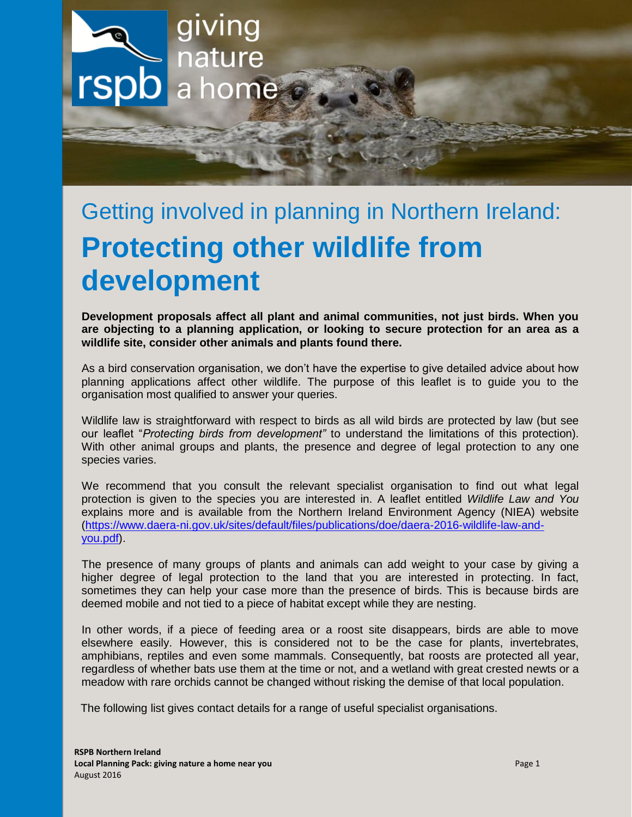

# Getting involved in planning in Northern Ireland: **Protecting other wildlife from development**

**Development proposals affect all plant and animal communities, not just birds. When you are objecting to a planning application, or looking to secure protection for an area as a wildlife site, consider other animals and plants found there.** 

As a bird conservation organisation, we don't have the expertise to give detailed advice about how planning applications affect other wildlife. The purpose of this leaflet is to guide you to the organisation most qualified to answer your queries.

Wildlife law is straightforward with respect to birds as all wild birds are protected by law (but see our leaflet "*Protecting birds from development"* to understand the limitations of this protection). With other animal groups and plants, the presence and degree of legal protection to any one species varies.

We recommend that you consult the relevant specialist organisation to find out what legal protection is given to the species you are interested in. A leaflet entitled *Wildlife Law and You*  explains more and is available from the Northern Ireland Environment Agency (NIEA) website [\(https://www.daera-ni.gov.uk/sites/default/files/publications/doe/daera-2016-wildlife-law-and](https://www.daera-ni.gov.uk/sites/default/files/publications/doe/daera-2016-wildlife-law-and-you.pdf)[you.pdf\)](https://www.daera-ni.gov.uk/sites/default/files/publications/doe/daera-2016-wildlife-law-and-you.pdf).

The presence of many groups of plants and animals can add weight to your case by giving a higher degree of legal protection to the land that you are interested in protecting. In fact, sometimes they can help your case more than the presence of birds. This is because birds are deemed mobile and not tied to a piece of habitat except while they are nesting.

In other words, if a piece of feeding area or a roost site disappears, birds are able to move elsewhere easily. However, this is considered not to be the case for plants, invertebrates, amphibians, reptiles and even some mammals. Consequently, bat roosts are protected all year, regardless of whether bats use them at the time or not, and a wetland with great crested newts or a meadow with rare orchids cannot be changed without risking the demise of that local population.

The following list gives contact details for a range of useful specialist organisations.